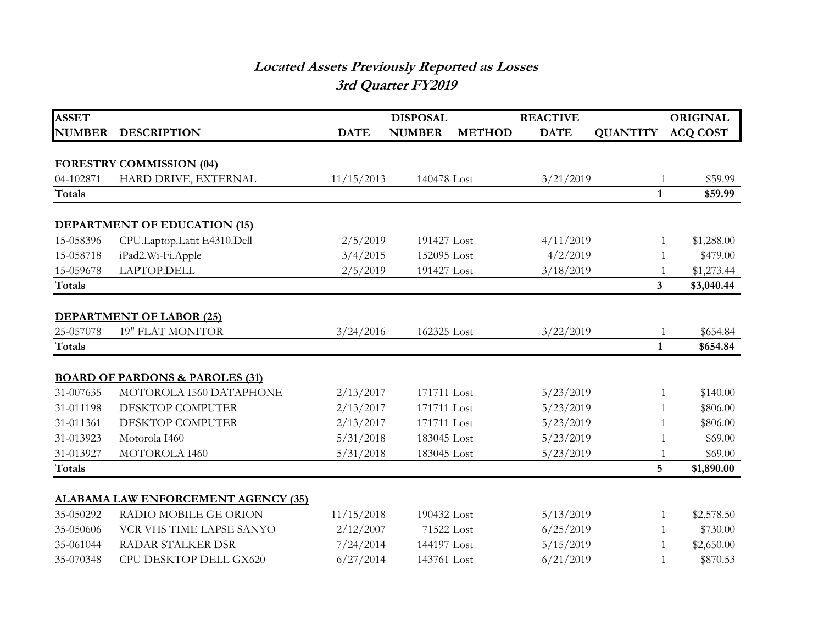## **Located Assets Previously Reported as Losses 3rd Quarter FY2019**

| <b>ASSET</b>  |                                            |             | <b>DISPOSAL</b> |               | <b>REACTIVE</b>        |                 | <b>ORIGINAL</b>          |
|---------------|--------------------------------------------|-------------|-----------------|---------------|------------------------|-----------------|--------------------------|
| <b>NUMBER</b> | <b>DESCRIPTION</b>                         | <b>DATE</b> | <b>NUMBER</b>   | <b>METHOD</b> | <b>DATE</b>            | <b>QUANTITY</b> | <b>ACQ COST</b>          |
|               |                                            |             |                 |               |                        |                 |                          |
|               | <b>FORESTRY COMMISSION (04)</b>            |             |                 |               |                        |                 |                          |
| 04-102871     | HARD DRIVE, EXTERNAL                       | 11/15/2013  | 140478 Lost     |               | 3/21/2019              | $\mathbf{1}$    | \$59.99                  |
| <b>Totals</b> |                                            |             |                 |               |                        | $\mathbf{1}$    | \$59.99                  |
|               | <b>DEPARTMENT OF EDUCATION (15)</b>        |             |                 |               |                        |                 |                          |
| 15-058396     | CPU.Laptop.Latit E4310.Dell                | 2/5/2019    | 191427 Lost     |               | 4/11/2019              | 1               | \$1,288.00               |
| 15-058718     | iPad2.Wi-Fi.Apple                          | 3/4/2015    | 152095 Lost     |               | 4/2/2019               |                 | \$479.00<br>$\mathbf{1}$ |
| 15-059678     | LAPTOP.DELL                                | 2/5/2019    | 191427 Lost     |               | 3/18/2019              | $\mathbf{1}$    | \$1,273.44               |
| <b>Totals</b> |                                            |             |                 |               |                        | 3 <sup>1</sup>  | \$3,040.44               |
|               | <b>DEPARTMENT OF LABOR (25)</b>            |             |                 |               |                        |                 |                          |
| 25-057078     | <b>19" FLAT MONITOR</b>                    | 3/24/2016   | 162325 Lost     |               | 3/22/2019              | $\mathbf{1}$    | \$654.84                 |
| <b>Totals</b> |                                            |             |                 |               |                        | $\mathbf{1}$    | \$654.84                 |
|               | <b>BOARD OF PARDONS &amp; PAROLES (31)</b> |             |                 |               |                        |                 |                          |
| 31-007635     | MOTOROLA I560 DATAPHONE                    | 2/13/2017   | 171711 Lost     |               | 5/23/2019              | 1               | \$140.00                 |
| 31-011198     | DESKTOP COMPUTER                           | 2/13/2017   |                 | 171711 Lost   |                        | 5/23/2019<br>1  | \$806.00                 |
| 31-011361     | DESKTOP COMPUTER                           | 2/13/2017   |                 | 171711 Lost   |                        | 5/23/2019<br>-1 | \$806.00                 |
| 31-013923     | Motorola I460                              | 5/31/2018   |                 | 183045 Lost   |                        | $\mathbf{1}$    | \$69.00                  |
| 31-013927     | MOTOROLA I460                              | 5/31/2018   | 183045 Lost     |               | 5/23/2019<br>5/23/2019 | $\mathbf{1}$    | \$69.00                  |
| <b>Totals</b> |                                            |             |                 |               |                        | 5               | \$1,890.00               |
|               |                                            |             |                 |               |                        |                 |                          |
|               | <b>ALABAMA LAW ENFORCEMENT AGENCY (35)</b> |             |                 |               |                        |                 |                          |
| 35-050292     | <b>RADIO MOBILE GE ORION</b>               | 11/15/2018  | 190432 Lost     |               | 5/13/2019              | $\mathbf{1}$    | \$2,578.50               |
| 35-050606     | VCR VHS TIME LAPSE SANYO                   | 2/12/2007   | 71522 Lost      |               | 6/25/2019              | 1               | \$730.00                 |
| 35-061044     | <b>RADAR STALKER DSR</b>                   | 7/24/2014   | 144197 Lost     |               | 5/15/2019              | 1               | \$2,650.00               |
| 35-070348     | CPU DESKTOP DELL GX620                     | 6/27/2014   | 143761 Lost     |               | 6/21/2019              | $\mathbf{1}$    | \$870.53                 |